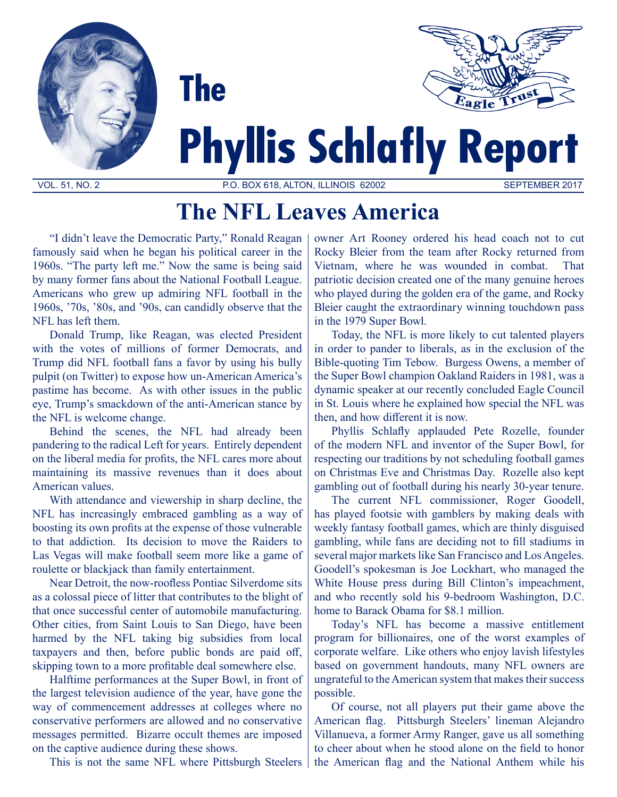

# **The NFL Leaves America**

"I didn't leave the Democratic Party," Ronald Reagan famously said when he began his political career in the 1960s. "The party left me." Now the same is being said by many former fans about the National Football League. Americans who grew up admiring NFL football in the 1960s, '70s, '80s, and '90s, can candidly observe that the NFL has left them.

Donald Trump, like Reagan, was elected President with the votes of millions of former Democrats, and Trump did NFL football fans a favor by using his bully pulpit (on Twitter) to expose how un-American America's pastime has become. As with other issues in the public eye, Trump's smackdown of the anti-American stance by the NFL is welcome change.

Behind the scenes, the NFL had already been pandering to the radical Left for years. Entirely dependent on the liberal media for profits, the NFL cares more about maintaining its massive revenues than it does about American values.

With attendance and viewership in sharp decline, the NFL has increasingly embraced gambling as a way of boosting its own profits at the expense of those vulnerable to that addiction. Its decision to move the Raiders to Las Vegas will make football seem more like a game of roulette or blackjack than family entertainment.

Near Detroit, the now-roofless Pontiac Silverdome sits as a colossal piece of litter that contributes to the blight of that once successful center of automobile manufacturing. Other cities, from Saint Louis to San Diego, have been harmed by the NFL taking big subsidies from local taxpayers and then, before public bonds are paid off, skipping town to a more profitable deal somewhere else.

Halftime performances at the Super Bowl, in front of the largest television audience of the year, have gone the way of commencement addresses at colleges where no conservative performers are allowed and no conservative messages permitted. Bizarre occult themes are imposed on the captive audience during these shows.

This is not the same NFL where Pittsburgh Steelers

owner Art Rooney ordered his head coach not to cut Rocky Bleier from the team after Rocky returned from Vietnam, where he was wounded in combat. That patriotic decision created one of the many genuine heroes who played during the golden era of the game, and Rocky Bleier caught the extraordinary winning touchdown pass in the 1979 Super Bowl.

Today, the NFL is more likely to cut talented players in order to pander to liberals, as in the exclusion of the Bible-quoting Tim Tebow. Burgess Owens, a member of the Super Bowl champion Oakland Raiders in 1981, was a dynamic speaker at our recently concluded Eagle Council in St. Louis where he explained how special the NFL was then, and how different it is now.

Phyllis Schlafly applauded Pete Rozelle, founder of the modern NFL and inventor of the Super Bowl, for respecting our traditions by not scheduling football games on Christmas Eve and Christmas Day. Rozelle also kept gambling out of football during his nearly 30-year tenure.

The current NFL commissioner, Roger Goodell, has played footsie with gamblers by making deals with weekly fantasy football games, which are thinly disguised gambling, while fans are deciding not to fill stadiums in several major markets like San Francisco and Los Angeles. Goodell's spokesman is Joe Lockhart, who managed the White House press during Bill Clinton's impeachment, and who recently sold his 9-bedroom Washington, D.C. home to Barack Obama for \$8.1 million.

Today's NFL has become a massive entitlement program for billionaires, one of the worst examples of corporate welfare. Like others who enjoy lavish lifestyles based on government handouts, many NFL owners are ungrateful to the American system that makes their success possible.

Of course, not all players put their game above the American flag. Pittsburgh Steelers' lineman Alejandro Villanueva, a former Army Ranger, gave us all something to cheer about when he stood alone on the field to honor the American flag and the National Anthem while his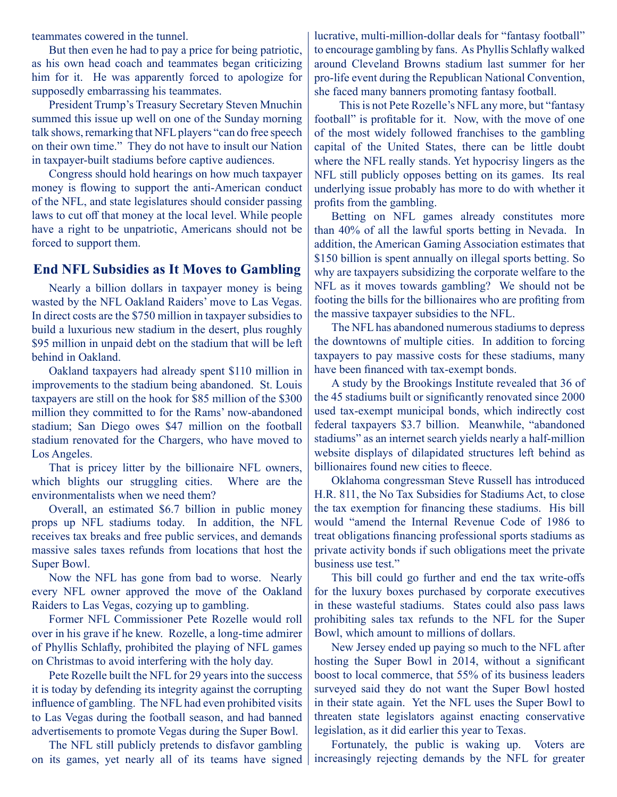teammates cowered in the tunnel.

But then even he had to pay a price for being patriotic, as his own head coach and teammates began criticizing him for it. He was apparently forced to apologize for supposedly embarrassing his teammates.

President Trump's Treasury Secretary Steven Mnuchin summed this issue up well on one of the Sunday morning talk shows, remarking that NFL players "can do free speech on their own time." They do not have to insult our Nation in taxpayer-built stadiums before captive audiences.

Congress should hold hearings on how much taxpayer money is flowing to support the anti-American conduct of the NFL, and state legislatures should consider passing laws to cut off that money at the local level. While people have a right to be unpatriotic, Americans should not be forced to support them.

#### **End NFL Subsidies as It Moves to Gambling**

Nearly a billion dollars in taxpayer money is being wasted by the NFL Oakland Raiders' move to Las Vegas. In direct costs are the \$750 million in taxpayer subsidies to build a luxurious new stadium in the desert, plus roughly \$95 million in unpaid debt on the stadium that will be left behind in Oakland.

Oakland taxpayers had already spent \$110 million in improvements to the stadium being abandoned. St. Louis taxpayers are still on the hook for \$85 million of the \$300 million they committed to for the Rams' now-abandoned stadium; San Diego owes \$47 million on the football stadium renovated for the Chargers, who have moved to Los Angeles.

That is pricey litter by the billionaire NFL owners, which blights our struggling cities. Where are the environmentalists when we need them?

Overall, an estimated \$6.7 billion in public money props up NFL stadiums today. In addition, the NFL receives tax breaks and free public services, and demands massive sales taxes refunds from locations that host the Super Bowl.

Now the NFL has gone from bad to worse. Nearly every NFL owner approved the move of the Oakland Raiders to Las Vegas, cozying up to gambling.

Former NFL Commissioner Pete Rozelle would roll over in his grave if he knew. Rozelle, a long-time admirer of Phyllis Schlafly, prohibited the playing of NFL games on Christmas to avoid interfering with the holy day.

Pete Rozelle built the NFL for 29 years into the success it is today by defending its integrity against the corrupting influence of gambling. The NFL had even prohibited visits to Las Vegas during the football season, and had banned advertisements to promote Vegas during the Super Bowl.

The NFL still publicly pretends to disfavor gambling on its games, yet nearly all of its teams have signed lucrative, multi-million-dollar deals for "fantasy football" to encourage gambling by fans. As Phyllis Schlafly walked around Cleveland Browns stadium last summer for her pro-life event during the Republican National Convention, she faced many banners promoting fantasy football.

 This is not Pete Rozelle's NFL any more, but "fantasy football" is profitable for it. Now, with the move of one of the most widely followed franchises to the gambling capital of the United States, there can be little doubt where the NFL really stands. Yet hypocrisy lingers as the NFL still publicly opposes betting on its games. Its real underlying issue probably has more to do with whether it profits from the gambling.

Betting on NFL games already constitutes more than 40% of all the lawful sports betting in Nevada. In addition, the American Gaming Association estimates that \$150 billion is spent annually on illegal sports betting. So why are taxpayers subsidizing the corporate welfare to the NFL as it moves towards gambling? We should not be footing the bills for the billionaires who are profiting from the massive taxpayer subsidies to the NFL.

The NFL has abandoned numerous stadiums to depress the downtowns of multiple cities. In addition to forcing taxpayers to pay massive costs for these stadiums, many have been financed with tax-exempt bonds.

A study by the Brookings Institute revealed that 36 of the 45 stadiums built or significantly renovated since 2000 used tax-exempt municipal bonds, which indirectly cost federal taxpayers \$3.7 billion. Meanwhile, "abandoned stadiums" as an internet search yields nearly a half-million website displays of dilapidated structures left behind as billionaires found new cities to fleece.

Oklahoma congressman Steve Russell has introduced H.R. 811, the No Tax Subsidies for Stadiums Act, to close the tax exemption for financing these stadiums. His bill would "amend the Internal Revenue Code of 1986 to treat obligations financing professional sports stadiums as private activity bonds if such obligations meet the private business use test."

This bill could go further and end the tax write-offs for the luxury boxes purchased by corporate executives in these wasteful stadiums. States could also pass laws prohibiting sales tax refunds to the NFL for the Super Bowl, which amount to millions of dollars.

New Jersey ended up paying so much to the NFL after hosting the Super Bowl in 2014, without a significant boost to local commerce, that 55% of its business leaders surveyed said they do not want the Super Bowl hosted in their state again. Yet the NFL uses the Super Bowl to threaten state legislators against enacting conservative legislation, as it did earlier this year to Texas.

Fortunately, the public is waking up. Voters are increasingly rejecting demands by the NFL for greater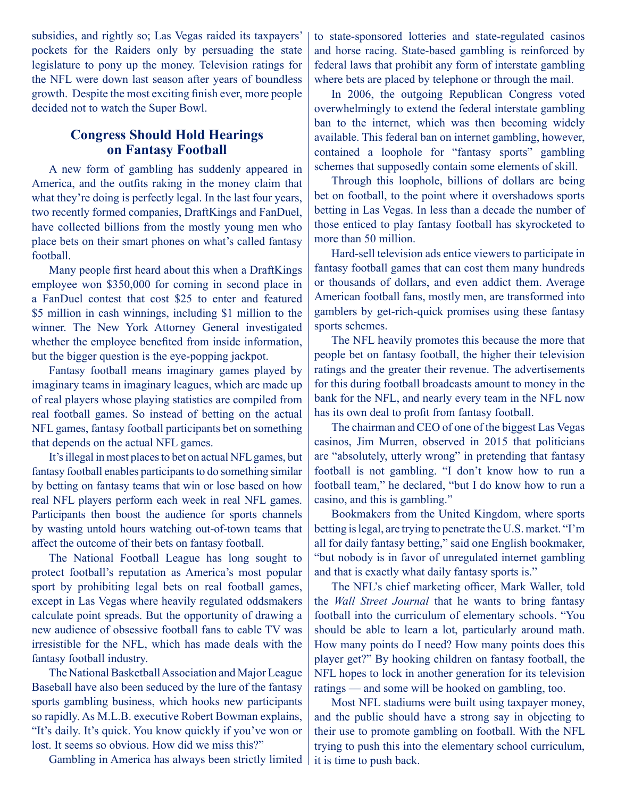subsidies, and rightly so; Las Vegas raided its taxpayers' pockets for the Raiders only by persuading the state legislature to pony up the money. Television ratings for the NFL were down last season after years of boundless growth. Despite the most exciting finish ever, more people decided not to watch the Super Bowl.

### **Congress Should Hold Hearings on Fantasy Football**

A new form of gambling has suddenly appeared in America, and the outfits raking in the money claim that what they're doing is perfectly legal. In the last four years, two recently formed companies, DraftKings and FanDuel, have collected billions from the mostly young men who place bets on their smart phones on what's called fantasy football.

Many people first heard about this when a DraftKings employee won \$350,000 for coming in second place in a FanDuel contest that cost \$25 to enter and featured \$5 million in cash winnings, including \$1 million to the winner. The New York Attorney General investigated whether the employee benefited from inside information, but the bigger question is the eye-popping jackpot.

Fantasy football means imaginary games played by imaginary teams in imaginary leagues, which are made up of real players whose playing statistics are compiled from real football games. So instead of betting on the actual NFL games, fantasy football participants bet on something that depends on the actual NFL games.

It's illegal in most places to bet on actual NFL games, but fantasy football enables participants to do something similar by betting on fantasy teams that win or lose based on how real NFL players perform each week in real NFL games. Participants then boost the audience for sports channels by wasting untold hours watching out-of-town teams that affect the outcome of their bets on fantasy football.

The National Football League has long sought to protect football's reputation as America's most popular sport by prohibiting legal bets on real football games, except in Las Vegas where heavily regulated oddsmakers calculate point spreads. But the opportunity of drawing a new audience of obsessive football fans to cable TV was irresistible for the NFL, which has made deals with the fantasy football industry.

The National Basketball Association and Major League Baseball have also been seduced by the lure of the fantasy sports gambling business, which hooks new participants so rapidly. As M.L.B. executive Robert Bowman explains, "It's daily. It's quick. You know quickly if you've won or lost. It seems so obvious. How did we miss this?"

Gambling in America has always been strictly limited

to state-sponsored lotteries and state-regulated casinos and horse racing. State-based gambling is reinforced by federal laws that prohibit any form of interstate gambling where bets are placed by telephone or through the mail.

In 2006, the outgoing Republican Congress voted overwhelmingly to extend the federal interstate gambling ban to the internet, which was then becoming widely available. This federal ban on internet gambling, however, contained a loophole for "fantasy sports" gambling schemes that supposedly contain some elements of skill.

Through this loophole, billions of dollars are being bet on football, to the point where it overshadows sports betting in Las Vegas. In less than a decade the number of those enticed to play fantasy football has skyrocketed to more than 50 million.

Hard-sell television ads entice viewers to participate in fantasy football games that can cost them many hundreds or thousands of dollars, and even addict them. Average American football fans, mostly men, are transformed into gamblers by get-rich-quick promises using these fantasy sports schemes.

The NFL heavily promotes this because the more that people bet on fantasy football, the higher their television ratings and the greater their revenue. The advertisements for this during football broadcasts amount to money in the bank for the NFL, and nearly every team in the NFL now has its own deal to profit from fantasy football.

The chairman and CEO of one of the biggest Las Vegas casinos, Jim Murren, observed in 2015 that politicians are "absolutely, utterly wrong" in pretending that fantasy football is not gambling. "I don't know how to run a football team," he declared, "but I do know how to run a casino, and this is gambling."

Bookmakers from the United Kingdom, where sports betting is legal, are trying to penetrate the U.S. market. "I'm all for daily fantasy betting," said one English bookmaker, "but nobody is in favor of unregulated internet gambling and that is exactly what daily fantasy sports is."

The NFL's chief marketing officer, Mark Waller, told the *Wall Street Journal* that he wants to bring fantasy football into the curriculum of elementary schools. "You should be able to learn a lot, particularly around math. How many points do I need? How many points does this player get?" By hooking children on fantasy football, the NFL hopes to lock in another generation for its television ratings — and some will be hooked on gambling, too.

Most NFL stadiums were built using taxpayer money, and the public should have a strong say in objecting to their use to promote gambling on football. With the NFL trying to push this into the elementary school curriculum, it is time to push back.